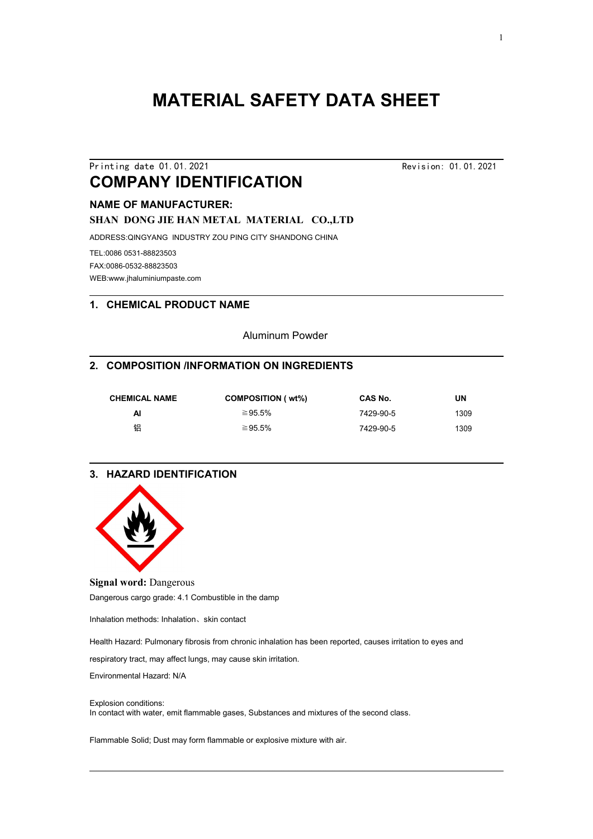# **MATERIAL SAFETY DATA SHEET**

# Printing date 01.01.2021 Revision: 01.01.2021 **COMPANY IDENTIFICATION**

# **NAME OF MANUFACTURER:**

**SHAN DONG JIE HAN METAL MATERIAL CO.,LTD**

ADDRESS:QINGYANG INDUSTRY ZOU PING CITY SHANDONG CHINA

TEL:0086 0531-88823503 FAX:0086-0532-88823503 WEB:www.jhaluminiumpaste.com

#### **1. CHEMICAL PRODUCT NAME**

Aluminum Powder

#### **2. COMPOSITION /INFORMATION ON INGREDIENTS**

| <b>CHEMICAL NAME</b> | <b>COMPOSITION (wt%)</b> | <b>CAS No.</b> | UN   |  |
|----------------------|--------------------------|----------------|------|--|
| Al                   | ≥95.5%                   | 7429-90-5      | 1309 |  |
| 铝                    | ≥95.5%                   | 7429-90-5      | 1309 |  |

## **3. HAZARD IDENTIFICATION**



#### **Signal word:** Dangerous

Dangerous cargo grade: 4.1 Combustible in the damp

Inhalation methods: Inhalation、skin contact

Health Hazard: Pulmonary fibrosis from chronic inhalation has been reported, causes irritation to eyes and

respiratory tract, may affect lungs, may cause skin irritation.

Environmental Hazard: N/A

#### Explosion conditions:

In contact with water, emit flammable gases, Substances and mixtures of the second class.

Flammable Solid; Dust may form flammable or explosive mixture with air.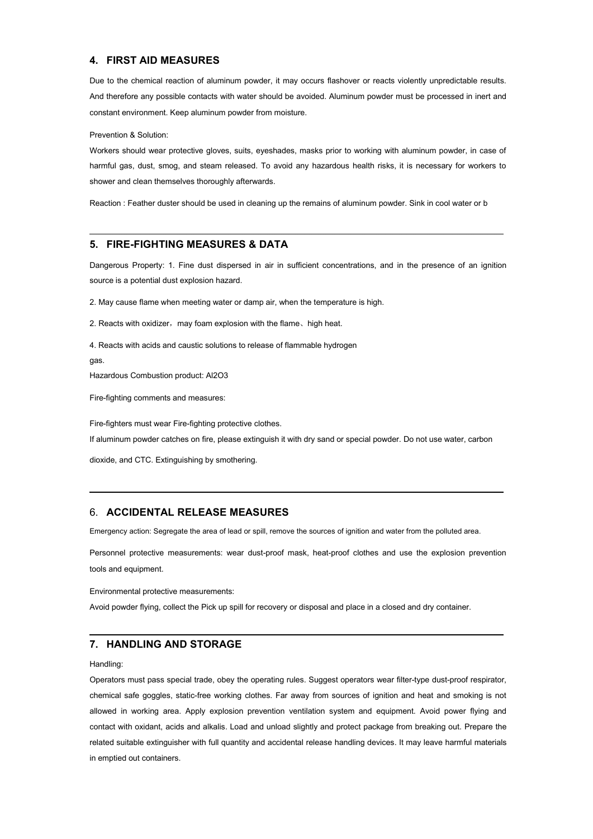#### **4. FIRST AID MEASURES**

Due to the chemical reaction of aluminum powder, it may occurs flashover or reacts violently unpredictable results. And therefore any possible contacts with water should be avoided. Aluminum powder must be processed in inert and constant environment. Keep aluminum powder from moisture.

Prevention & Solution:

Workers should wear protective gloves, suits, eyeshades, masks prior to working with aluminum powder, in case of harmful gas, dust, smog, and steam released. To avoid any hazardous health risks, it is necessary for workers to shower and clean themselves thoroughly afterwards.

Reaction : Feather duster should be used in cleaning up the remains of aluminum powder. Sink in cool water or b

#### **5. FIRE-FIGHTING MEASURES & DATA**

Dangerous Property: 1. Fine dust dispersed in air in sufficient concentrations, and in the presence of an ignition source is a potential dust explosion hazard.

2. May cause flame when meeting water or damp air, when the temperature ishigh.

2. Reacts with oxidizer, may foam explosion with the flame, high heat.

4. Reacts with acids and caustic solutions to release of flammable hydrogen

gas.

Hazardous Combustion product: Al2O3

Fire-fighting comments and measures:

Fire-fighters must wear Fire-fighting protective clothes.

If aluminum powder catches on fire, please extinguish it with dry sand or special powder. Do not use water, carbon

dioxide, and CTC. Extinguishing by smothering.

#### 6. **ACCIDENTAL RELEASE MEASURES**

Emergency action: Segregate the area of lead or spill, remove the sources of ignition and water from the polluted area.

Personnel protective measurements: wear dust-proof mask, heat-proof clothes and use the explosion prevention

tools and equipment.<br>Environmental protective measurements:

Avoid powder flying, collect the Pick up spill for recovery or disposal and place in a closed and dry container.

## **7. HANDLING AND STORAGE**

Handling:

Operators must pass special trade, obey the operating rules. Suggest operators wear filter-type dust-proof respirator, chemical safe goggles, static-free working clothes. Far away from sources of ignition and heat and smoking is not allowed in working area. Apply explosion prevention ventilation system and equipment. Avoid power flying and contact with oxidant, acids and alkalis. Load and unload slightly and protect package from breaking out. Prepare the related suitable extinguisher with full quantity and accidental release handling devices. It may leave harmful materials in emptied out containers.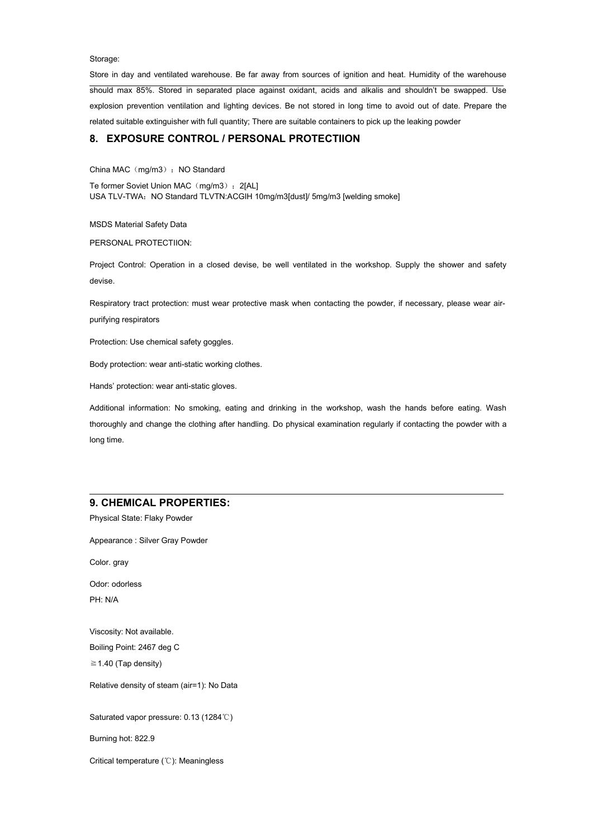Storage:

Store in day and ventilated warehouse. Be far away from sources of ignition and heat. Humidity of the warehouse should max 85%. Stored in separated place against oxidant, acids and alkalis and shouldn't be swapped. Use explosion prevention ventilation and lighting devices. Be not stored in long time to avoid out of date. Prepare the related suitable extinguisher with full quantity; There are suitable containers to pick up the leaking powder

## **8. EXPOSURE CONTROL / PERSONAL PROTECTIION**

China MAC (mg/m3) : NO Standard

Te former Soviet Union MAC (mg/m3): 2[AL] USA TLV-TWA: NO Standard TLVTN:ACGIH 10mg/m3[dust]/ 5mg/m3 [welding smoke]

MSDS Material Safety Data

PERSONAL PROTECTIION:

Project Control: Operation in a closed devise, be well ventilated in the workshop. Supply the shower and safety devise.

Respiratory tract protection: must wear protective mask when contacting the powder, if necessary, please wear air-purifying respirators

Protection: Use chemical safety goggles.

Body protection: wear anti-static working clothes.

Hands' protection: wear anti-static gloves.

Additional information: No smoking, eating and drinking in the workshop, wash the hands before eating. Wash thoroughly and change the clothing after handling. Do physical examination regularly if contacting the powder with a long time.

#### **9. CHEMICAL PROPERTIES:**

Physical State: Flaky Powder

Appearance : Silver Gray Powder

Color. gray

Odor: odorless PH: N/A

Viscosity: Not available. Boiling Point: 2467 deg C

 $\geq$  1.40 (Tap density)

Relative density of steam (air=1): No Data

Saturated vapor pressure: 0.13 (1284℃)

Burning hot: 822.9

Critical temperature (℃): Meaningless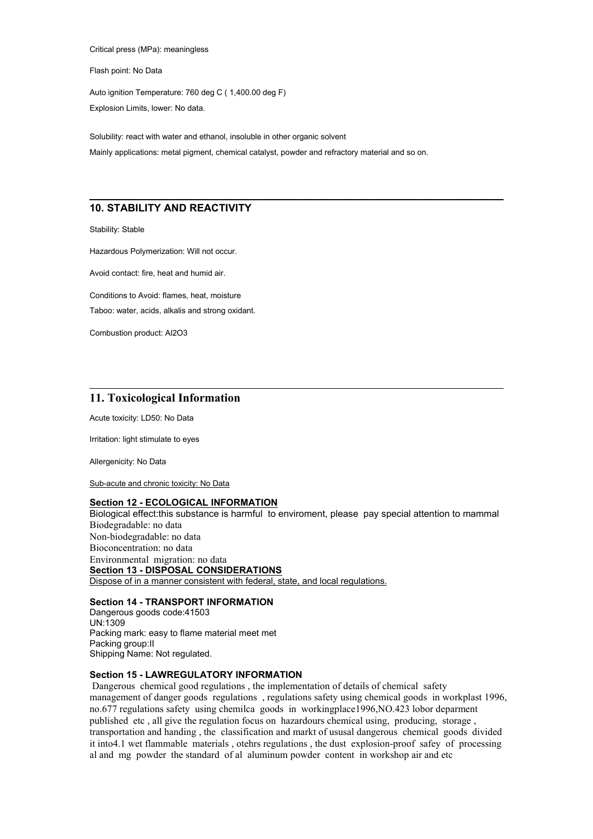Critical press (MPa): meaningless

Flash point: No Data

Auto ignition Temperature: 760 deg C ( 1,400.00 deg F) Explosion Limits, lower: No data.

Solubility: react with water and ethanol, insoluble in other organic solvent Mainly applications: metal pigment, chemical catalyst, powder and refractory material and so on.

## **10. STABILITY AND REACTIVITY**

Stability: Stable

Hazardous Polymerization: Will not occur.

Avoid contact: fire, heat and humid air.

Conditions to Avoid: flames, heat, moisture

Taboo: water, acids, alkalis and strong oxidant.

Combustion product: Al2O3

#### **11. Toxicological Information**

Acute toxicity: LD50: No Data

Irritation: light stimulate to eyes

Allergenicity: No Data

Sub-acute and chronic toxicity: No Data

#### **Section 12 - ECOLOGICAL INFORMATION**

Biological effect:this substance isharmful to enviroment, please pay special attention to mammal Biodegradable: no data Non-biodegradable: no data Bioconcentration: no data Environmental migration: no data **Section 13 - DISPOSAL CONSIDERATIONS** Dispose of in a manner consistent with federal, state, and local regulations.

#### **Section 14 - TRANSPORT INFORMATION**

Dangerous goods code:41503 UN:1309 Packing mark: easy to flame material meet met Packing group:II Shipping Name: Not regulated.

#### **Section 15 - LAWREGULATORY INFORMATION**

Dangerous chemical good regulations , the implementation of details of chemical safety management of danger goods regulations, regulations safety using chemical goods in workplast 1996, no.677 regulations safety using chemilca goods in workingplace1996,NO.423 lobor deparment published etc , all give the regulation focus on hazardours chemical using, producing, storage , transportation and handing , the classification and markt of ususal dangerous chemical goods divided it into4.1 wet flammable materials , otehrs regulations , the dust explosion-proof safey of processing al and mg powder the standard of al aluminum powder content in workshop air and etc